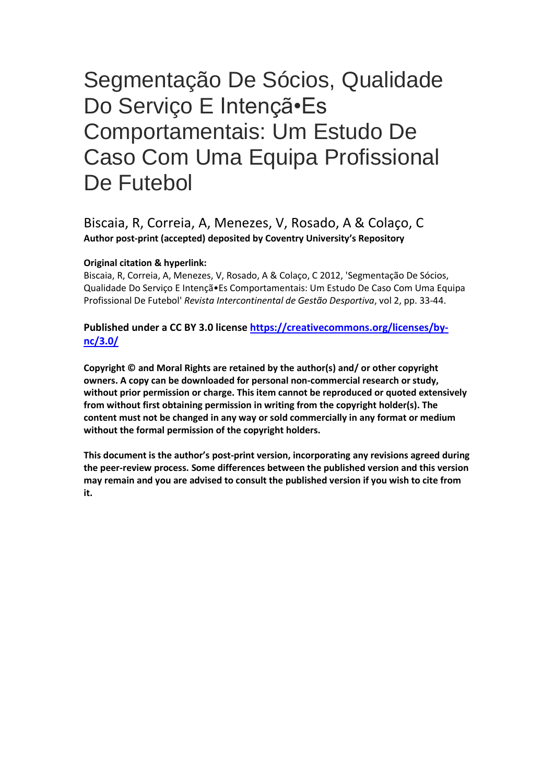# Segmentação De Sócios, Qualidade Do Serviço E Intençã•Es Comportamentais: Um Estudo De Caso Com Uma Equipa Profissional De Futebol

# Biscaia, R, Correia, A, Menezes, V, Rosado, A & Colaço, C **Author post-print (accepted) deposited by Coventry University's Repository**

# **Original citation & hyperlink:**

Biscaia, R, Correia, A, Menezes, V, Rosado, A & Colaço, C 2012, 'Segmentação De Sócios, Qualidade Do Serviço E Intençã•Es Comportamentais: Um Estudo De Caso Com Uma Equipa Profissional De Futebol' *Revista Intercontinental de Gestão Desportiva*, vol 2, pp. 33-44.

**Published under a CC BY 3.0 license [https://creativecommons.org/licenses/by](https://creativecommons.org/licenses/by-nc/3.0/)[nc/3.0/](https://creativecommons.org/licenses/by-nc/3.0/)**

**Copyright © and Moral Rights are retained by the author(s) and/ or other copyright owners. A copy can be downloaded for personal non-commercial research or study, without prior permission or charge. This item cannot be reproduced or quoted extensively from without first obtaining permission in writing from the copyright holder(s). The content must not be changed in any way or sold commercially in any format or medium without the formal permission of the copyright holders.** 

**This document is the author's post-print version, incorporating any revisions agreed during the peer-review process. Some differences between the published version and this version may remain and you are advised to consult the published version if you wish to cite from it.**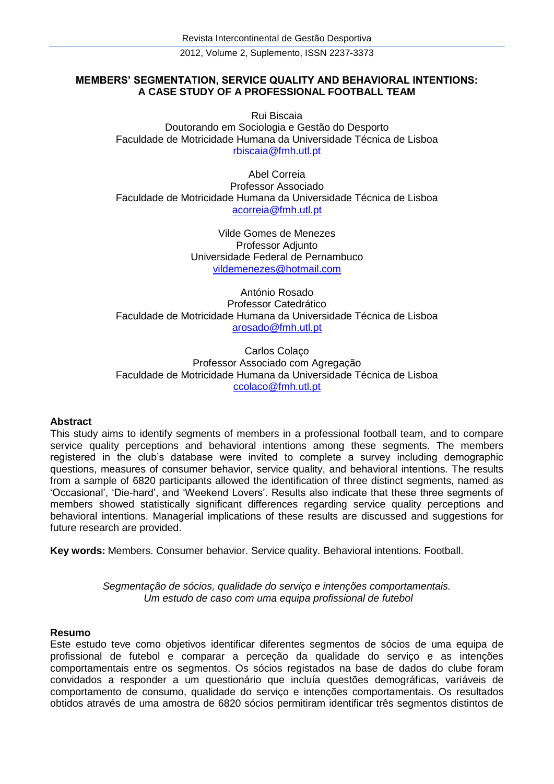2012, Volume 2, Suplemento, ISSN 2237-3373

# **MEMBERS' SEGMENTATION, SERVICE QUALITY AND BEHAVIORAL INTENTIONS: A CASE STUDY OF A PROFESSIONAL FOOTBALL TEAM**

Rui Biscaia Doutorando em Sociologia e Gestão do Desporto Faculdade de Motricidade Humana da Universidade Técnica de Lisboa <rbiscaia@fmh.utl.pt>

Abel Correia Professor Associado Faculdade de Motricidade Humana da Universidade Técnica de Lisboa <acorreia@fmh.utl.pt>

> Vilde Gomes de Menezes Professor Adjunto Universidade Federal de Pernambuco <vildemenezes@hotmail.com>

António Rosado Professor Catedrático Faculdade de Motricidade Humana da Universidade Técnica de Lisboa <arosado@fmh.utl.pt>

Carlos Colaço Professor Associado com Agregação Faculdade de Motricidade Humana da Universidade Técnica de Lisboa <ccolaco@fmh.utl.pt>

#### **Abstract**

This study aims to identify segments of members in a professional football team, and to compare service quality perceptions and behavioral intentions among these segments. The members registered in the club's database were invited to complete a survey including demographic questions, measures of consumer behavior, service quality, and behavioral intentions. The results from a sample of 6820 participants allowed the identification of three distinct segments, named as 'Occasional', 'Die-hard', and 'Weekend Lovers'. Results also indicate that these three segments of members showed statistically significant differences regarding service quality perceptions and behavioral intentions. Managerial implications of these results are discussed and suggestions for future research are provided.

**Key words:** Members. Consumer behavior. Service quality. Behavioral intentions. Football.

*Segmentação de sócios, qualidade do serviço e intenções comportamentais. Um estudo de caso com uma equipa profissional de futebol*

#### **Resumo**

Este estudo teve como objetivos identificar diferentes segmentos de sócios de uma equipa de profissional de futebol e comparar a perceção da qualidade do serviço e as intenções comportamentais entre os segmentos. Os sócios registados na base de dados do clube foram convidados a responder a um questionário que incluía questões demográficas, variáveis de comportamento de consumo, qualidade do serviço e intenções comportamentais. Os resultados obtidos através de uma amostra de 6820 sócios permitiram identificar três segmentos distintos de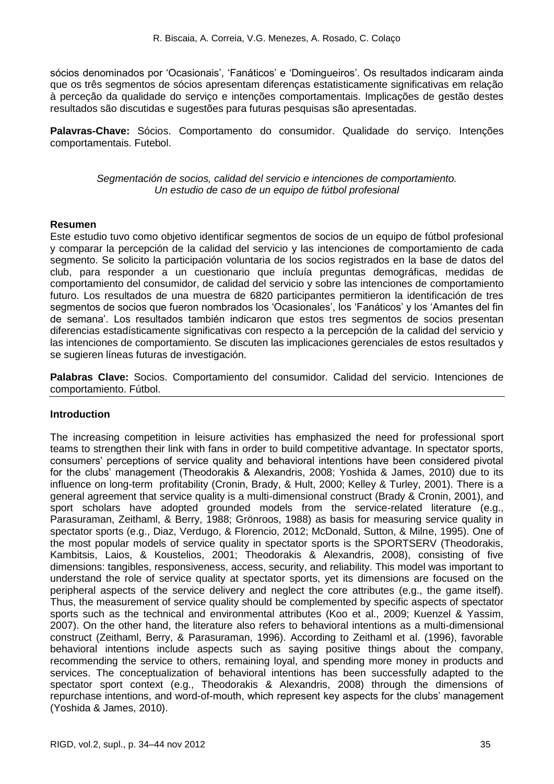sócios denominados por 'Ocasionais', 'Fanáticos' e 'Domingueiros'. Os resultados indicaram ainda que os três segmentos de sócios apresentam diferenças estatisticamente significativas em relação à perceção da qualidade do serviço e intenções comportamentais. Implicações de gestão destes resultados são discutidas e sugestões para futuras pesquisas são apresentadas.

**Palavras-Chave:** Sócios. Comportamento do consumidor. Qualidade do serviço. Intenções comportamentais. Futebol.

> *Segmentación de socios, calidad del servicio e intenciones de comportamiento. Un estudio de caso de un equipo de fútbol profesional*

### **Resumen**

Este estudio tuvo como objetivo identificar segmentos de socios de un equipo de fútbol profesional y comparar la percepción de la calidad del servicio y las intenciones de comportamiento de cada segmento. Se solicito la participación voluntaria de los socios registrados en la base de datos del club, para responder a un cuestionario que incluía preguntas demográficas, medidas de comportamiento del consumidor, de calidad del servicio y sobre las intenciones de comportamiento futuro. Los resultados de una muestra de 6820 participantes permitieron la identificación de tres segmentos de socios que fueron nombrados los 'Ocasionales', los 'Fanáticos' y los 'Amantes del fin de semana'. Los resultados también indicaron que estos tres segmentos de socios presentan diferencias estadísticamente significativas con respecto a la percepción de la calidad del servicio y las intenciones de comportamiento. Se discuten las implicaciones gerenciales de estos resultados y se sugieren líneas futuras de investigación.

**Palabras Clave:** Socios. Comportamiento del consumidor. Calidad del servicio. Intenciones de comportamiento. Fútbol.

#### **Introduction**

The increasing competition in leisure activities has emphasized the need for professional sport teams to strengthen their link with fans in order to build competitive advantage. In spectator sports, consumers' perceptions of service quality and behavioral intentions have been considered pivotal for the clubs' management (Theodorakis & Alexandris, 2008; Yoshida & James, 2010) due to its influence on long-term profitability (Cronin, Brady, & Hult, 2000; Kelley & Turley, 2001). There is a general agreement that service quality is a multi-dimensional construct (Brady & Cronin, 2001), and sport scholars have adopted grounded models from the service-related literature (e.g., Parasuraman, Zeithaml, & Berry, 1988; Grönroos, 1988) as basis for measuring service quality in spectator sports (e.g., Diaz, Verdugo, & Florencio, 2012; McDonald, Sutton, & Milne, 1995). One of the most popular models of service quality in spectator sports is the SPORTSERV (Theodorakis, Kambitsis, Laios, & Koustelios, 2001; Theodorakis & Alexandris, 2008), consisting of five dimensions: tangibles, responsiveness, access, security, and reliability. This model was important to understand the role of service quality at spectator sports, yet its dimensions are focused on the peripheral aspects of the service delivery and neglect the core attributes (e.g., the game itself). Thus, the measurement of service quality should be complemented by specific aspects of spectator sports such as the technical and environmental attributes (Koo et al., 2009; Kuenzel & Yassim, 2007). On the other hand, the literature also refers to behavioral intentions as a multi-dimensional construct (Zeithaml, Berry, & Parasuraman, 1996). According to Zeithaml et al. (1996), favorable behavioral intentions include aspects such as saying positive things about the company, recommending the service to others, remaining loyal, and spending more money in products and services. The conceptualization of behavioral intentions has been successfully adapted to the spectator sport context (e.g., Theodorakis & Alexandris, 2008) through the dimensions of repurchase intentions, and word-of-mouth, which represent key aspects for the clubs' management (Yoshida & James, 2010).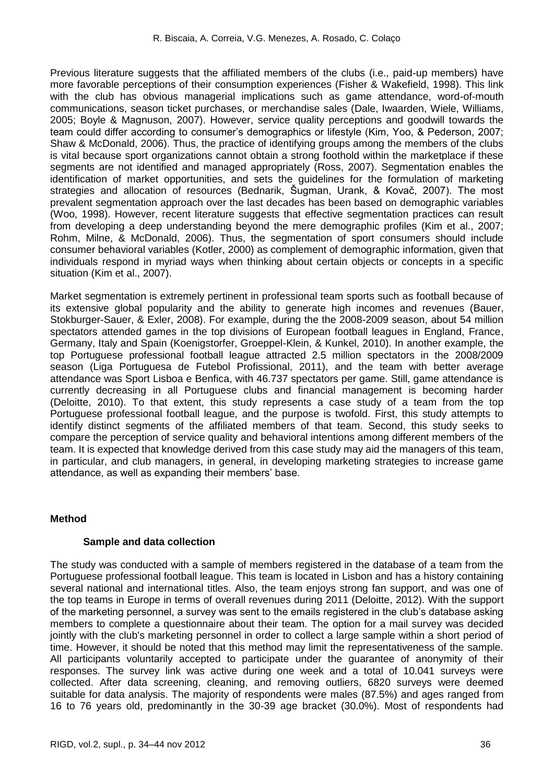Previous literature suggests that the affiliated members of the clubs (i.e., paid-up members) have more favorable perceptions of their consumption experiences (Fisher & Wakefield, 1998). This link with the club has obvious managerial implications such as game attendance, word-of-mouth communications, season ticket purchases, or merchandise sales (Dale, Iwaarden, Wiele, Williams, 2005; Boyle & Magnuson, 2007). However, service quality perceptions and goodwill towards the team could differ according to consumer's demographics or lifestyle (Kim, Yoo, & Pederson, 2007; Shaw & McDonald, 2006). Thus, the practice of identifying groups among the members of the clubs is vital because sport organizations cannot obtain a strong foothold within the marketplace if these segments are not identified and managed appropriately (Ross, 2007). Segmentation enables the identification of market opportunities, and sets the guidelines for the formulation of marketing strategies and allocation of resources (Bednarik, Šugman, Urank, & Kovač, 2007). The most prevalent segmentation approach over the last decades has been based on demographic variables (Woo, 1998). However, recent literature suggests that effective segmentation practices can result from developing a deep understanding beyond the mere demographic profiles (Kim et al., 2007; Rohm, Milne, & McDonald, 2006). Thus, the segmentation of sport consumers should include consumer behavioral variables (Kotler, 2000) as complement of demographic information, given that individuals respond in myriad ways when thinking about certain objects or concepts in a specific situation (Kim et al., 2007).

Market segmentation is extremely pertinent in professional team sports such as football because of its extensive global popularity and the ability to generate high incomes and revenues (Bauer, Stokburger-Sauer, & Exler, 2008). For example, during the the 2008-2009 season, about 54 million spectators attended games in the top divisions of European football leagues in England, France, Germany, Italy and Spain (Koenigstorfer, Groeppel-Klein, & Kunkel, 2010). In another example, the top Portuguese professional football league attracted 2.5 million spectators in the 2008/2009 season (Liga Portuguesa de Futebol Profissional, 2011), and the team with better average attendance was Sport Lisboa e Benfica, with 46.737 spectators per game. Still, game attendance is currently decreasing in all Portuguese clubs and financial management is becoming harder (Deloitte, 2010). To that extent, this study represents a case study of a team from the top Portuguese professional football league, and the purpose is twofold. First, this study attempts to identify distinct segments of the affiliated members of that team. Second, this study seeks to compare the perception of service quality and behavioral intentions among different members of the team. It is expected that knowledge derived from this case study may aid the managers of this team, in particular, and club managers, in general, in developing marketing strategies to increase game attendance, as well as expanding their members' base.

# **Method**

### **Sample and data collection**

The study was conducted with a sample of members registered in the database of a team from the Portuguese professional football league. This team is located in Lisbon and has a history containing several national and international titles. Also, the team enjoys strong fan support, and was one of the top teams in Europe in terms of overall revenues during 2011 (Deloitte, 2012). With the support of the marketing personnel, a survey was sent to the emails registered in the club's database asking members to complete a questionnaire about their team. The option for a mail survey was decided jointly with the club's marketing personnel in order to collect a large sample within a short period of time. However, it should be noted that this method may limit the representativeness of the sample. All participants voluntarily accepted to participate under the guarantee of anonymity of their responses. The survey link was active during one week and a total of 10.041 surveys were collected. After data screening, cleaning, and removing outliers, 6820 surveys were deemed suitable for data analysis. The majority of respondents were males (87.5%) and ages ranged from 16 to 76 years old, predominantly in the 30-39 age bracket (30.0%). Most of respondents had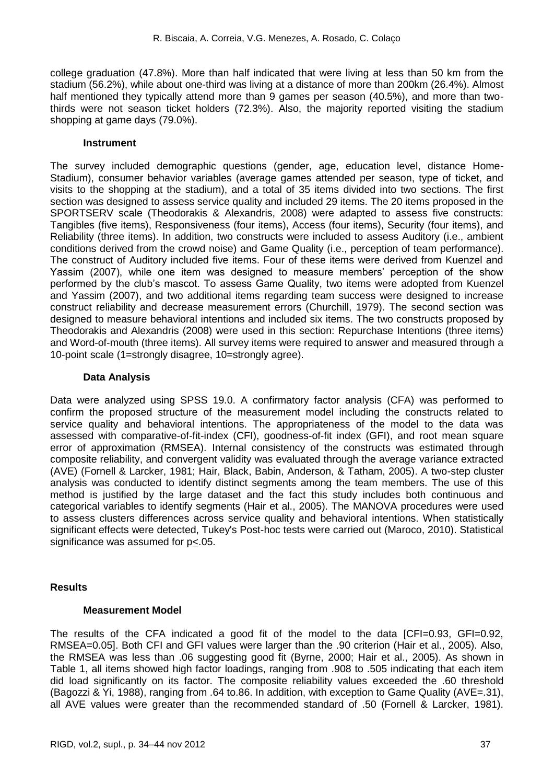college graduation (47.8%). More than half indicated that were living at less than 50 km from the stadium (56.2%), while about one-third was living at a distance of more than 200km (26.4%). Almost half mentioned they typically attend more than 9 games per season (40.5%), and more than twothirds were not season ticket holders (72.3%). Also, the majority reported visiting the stadium shopping at game days (79.0%).

#### **Instrument**

The survey included demographic questions (gender, age, education level, distance Home-Stadium), consumer behavior variables (average games attended per season, type of ticket, and visits to the shopping at the stadium), and a total of 35 items divided into two sections. The first section was designed to assess service quality and included 29 items. The 20 items proposed in the SPORTSERV scale (Theodorakis & Alexandris, 2008) were adapted to assess five constructs: Tangibles (five items), Responsiveness (four items), Access (four items), Security (four items), and Reliability (three items). In addition, two constructs were included to assess Auditory (i.e., ambient conditions derived from the crowd noise) and Game Quality (i.e., perception of team performance). The construct of Auditory included five items. Four of these items were derived from Kuenzel and Yassim (2007), while one item was designed to measure members' perception of the show performed by the club's mascot. To assess Game Quality, two items were adopted from Kuenzel and Yassim (2007), and two additional items regarding team success were designed to increase construct reliability and decrease measurement errors (Churchill, 1979). The second section was designed to measure behavioral intentions and included six items. The two constructs proposed by Theodorakis and Alexandris (2008) were used in this section: Repurchase Intentions (three items) and Word-of-mouth (three items). All survey items were required to answer and measured through a 10-point scale (1=strongly disagree, 10=strongly agree).

# **Data Analysis**

Data were analyzed using SPSS 19.0. A confirmatory factor analysis (CFA) was performed to confirm the proposed structure of the measurement model including the constructs related to service quality and behavioral intentions. The appropriateness of the model to the data was assessed with comparative-of-fit-index (CFI), goodness-of-fit index (GFI), and root mean square error of approximation (RMSEA). Internal consistency of the constructs was estimated through composite reliability, and convergent validity was evaluated through the average variance extracted (AVE) (Fornell & Larcker, 1981; Hair, Black, Babin, Anderson, & Tatham, 2005). A two-step cluster analysis was conducted to identify distinct segments among the team members. The use of this method is justified by the large dataset and the fact this study includes both continuous and categorical variables to identify segments (Hair et al., 2005). The MANOVA procedures were used to assess clusters differences across service quality and behavioral intentions. When statistically significant effects were detected, Tukey's Post-hoc tests were carried out (Maroco, 2010). Statistical significance was assumed for p<.05.

# **Results**

# **Measurement Model**

The results of the CFA indicated a good fit of the model to the data [CFI=0.93, GFI=0.92, RMSEA=0.05]. Both CFI and GFI values were larger than the .90 criterion (Hair et al., 2005). Also, the RMSEA was less than .06 suggesting good fit (Byrne, 2000; Hair et al., 2005). As shown in Table 1, all items showed high factor loadings, ranging from .908 to .505 indicating that each item did load significantly on its factor. The composite reliability values exceeded the .60 threshold (Bagozzi & Yi, 1988), ranging from .64 to.86. In addition, with exception to Game Quality (AVE=.31), all AVE values were greater than the recommended standard of .50 (Fornell & Larcker, 1981).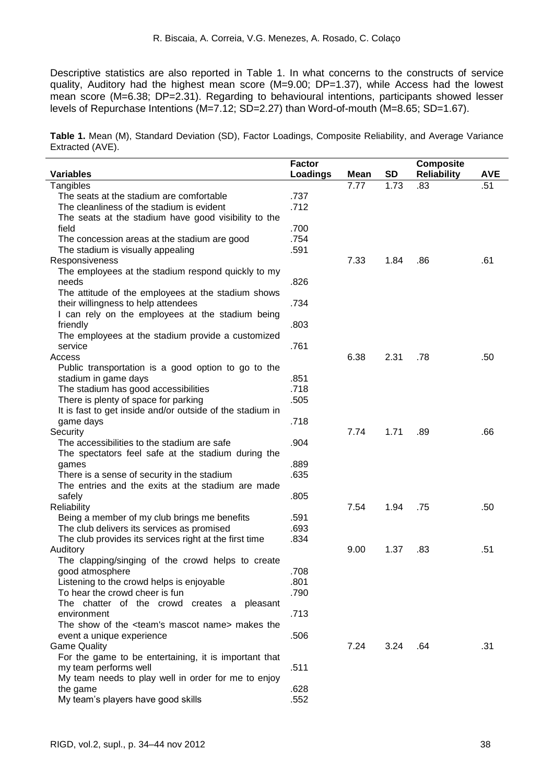Descriptive statistics are also reported in Table 1. In what concerns to the constructs of service quality, Auditory had the highest mean score (M=9.00; DP=1.37), while Access had the lowest mean score (M=6.38; DP=2.31). Regarding to behavioural intentions, participants showed lesser levels of Repurchase Intentions (M=7.12; SD=2.27) than Word-of-mouth (M=8.65; SD=1.67).

**Table 1.** Mean (M), Standard Deviation (SD), Factor Loadings, Composite Reliability, and Average Variance Extracted (AVE).

| <b>Variables</b>                                              | <b>Factor</b><br><b>Loadings</b> | Mean | <b>SD</b> | <b>Composite</b><br><b>Reliability</b> | <b>AVE</b> |
|---------------------------------------------------------------|----------------------------------|------|-----------|----------------------------------------|------------|
| Tangibles                                                     |                                  | 7.77 | 1.73      | .83                                    | .51        |
| The seats at the stadium are comfortable                      | .737                             |      |           |                                        |            |
| The cleanliness of the stadium is evident                     | .712                             |      |           |                                        |            |
| The seats at the stadium have good visibility to the          |                                  |      |           |                                        |            |
| field                                                         | .700                             |      |           |                                        |            |
| The concession areas at the stadium are good                  | .754                             |      |           |                                        |            |
| The stadium is visually appealing                             | .591                             |      |           |                                        |            |
| Responsiveness                                                |                                  | 7.33 | 1.84      | .86                                    | .61        |
| The employees at the stadium respond quickly to my            |                                  |      |           |                                        |            |
| needs                                                         | .826                             |      |           |                                        |            |
| The attitude of the employees at the stadium shows            |                                  |      |           |                                        |            |
| their willingness to help attendees                           | .734                             |      |           |                                        |            |
| I can rely on the employees at the stadium being              |                                  |      |           |                                        |            |
| friendly                                                      | .803                             |      |           |                                        |            |
| The employees at the stadium provide a customized             |                                  |      |           |                                        |            |
| service                                                       | .761                             |      |           |                                        |            |
| Access                                                        |                                  | 6.38 | 2.31      | .78                                    | .50        |
| Public transportation is a good option to go to the           |                                  |      |           |                                        |            |
| stadium in game days                                          | .851                             |      |           |                                        |            |
| The stadium has good accessibilities                          | .718                             |      |           |                                        |            |
| There is plenty of space for parking                          | .505                             |      |           |                                        |            |
| It is fast to get inside and/or outside of the stadium in     |                                  |      |           |                                        |            |
| game days                                                     | .718                             |      |           |                                        |            |
| Security                                                      |                                  | 7.74 | 1.71      | .89                                    | .66        |
| The accessibilities to the stadium are safe                   | .904                             |      |           |                                        |            |
| The spectators feel safe at the stadium during the            |                                  |      |           |                                        |            |
| games                                                         | .889                             |      |           |                                        |            |
| There is a sense of security in the stadium                   | .635                             |      |           |                                        |            |
| The entries and the exits at the stadium are made             |                                  |      |           |                                        |            |
| safely                                                        | .805                             |      |           |                                        |            |
| <b>Reliability</b>                                            |                                  | 7.54 | 1.94      | .75                                    | .50        |
| Being a member of my club brings me benefits                  | .591                             |      |           |                                        |            |
| The club delivers its services as promised                    | .693                             |      |           |                                        |            |
| The club provides its services right at the first time        | .834                             |      |           |                                        |            |
| Auditory                                                      |                                  | 9.00 | 1.37      | .83                                    | .51        |
| The clapping/singing of the crowd helps to create             |                                  |      |           |                                        |            |
| good atmosphere                                               | .708                             |      |           |                                        |            |
| Listening to the crowd helps is enjoyable                     | .801                             |      |           |                                        |            |
| To hear the crowd cheer is fun                                | .790                             |      |           |                                        |            |
| The chatter of the crowd creates a pleasant                   |                                  |      |           |                                        |            |
| environment                                                   | .713                             |      |           |                                        |            |
| The show of the <team's mascot="" name=""> makes the</team's> |                                  |      |           |                                        |            |
| event a unique experience                                     | .506                             |      |           |                                        |            |
| <b>Game Quality</b>                                           |                                  | 7.24 | 3.24      | .64                                    | .31        |
| For the game to be entertaining, it is important that         |                                  |      |           |                                        |            |
| my team performs well                                         | .511                             |      |           |                                        |            |
| My team needs to play well in order for me to enjoy           |                                  |      |           |                                        |            |
| the game                                                      | .628                             |      |           |                                        |            |
| My team's players have good skills                            | .552                             |      |           |                                        |            |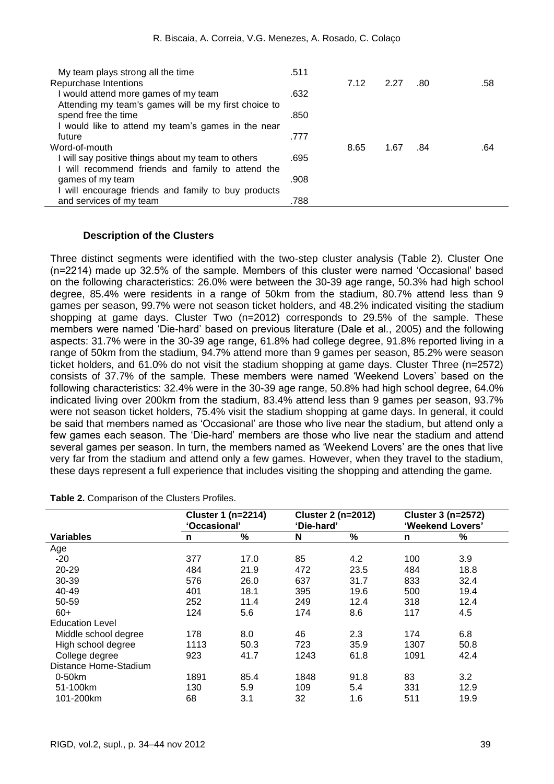| My team plays strong all the time                    | .511 |      |      |     |     |
|------------------------------------------------------|------|------|------|-----|-----|
| Repurchase Intentions                                |      | 7.12 | 2.27 | .80 | .58 |
| I would attend more games of my team                 | .632 |      |      |     |     |
| Attending my team's games will be my first choice to |      |      |      |     |     |
| spend free the time                                  | .850 |      |      |     |     |
| I would like to attend my team's games in the near   |      |      |      |     |     |
| future                                               | .777 |      |      |     |     |
| Word-of-mouth                                        |      | 8.65 | 1.67 | .84 | .64 |
| I will say positive things about my team to others   | .695 |      |      |     |     |
| I will recommend friends and family to attend the    |      |      |      |     |     |
| games of my team                                     | .908 |      |      |     |     |
| will encourage friends and family to buy products    |      |      |      |     |     |
| and services of my team                              | .788 |      |      |     |     |

#### **Description of the Clusters**

Three distinct segments were identified with the two-step cluster analysis (Table 2). Cluster One (n=2214) made up 32.5% of the sample. Members of this cluster were named 'Occasional' based on the following characteristics: 26.0% were between the 30-39 age range, 50.3% had high school degree, 85.4% were residents in a range of 50km from the stadium, 80.7% attend less than 9 games per season, 99.7% were not season ticket holders, and 48.2% indicated visiting the stadium shopping at game days. Cluster Two (n=2012) corresponds to 29.5% of the sample. These members were named 'Die-hard' based on previous literature (Dale et al., 2005) and the following aspects: 31.7% were in the 30-39 age range, 61.8% had college degree, 91.8% reported living in a range of 50km from the stadium, 94.7% attend more than 9 games per season, 85.2% were season ticket holders, and 61.0% do not visit the stadium shopping at game days. Cluster Three (n=2572) consists of 37.7% of the sample. These members were named 'Weekend Lovers' based on the following characteristics: 32.4% were in the 30-39 age range, 50.8% had high school degree, 64.0% indicated living over 200km from the stadium, 83.4% attend less than 9 games per season, 93.7% were not season ticket holders, 75.4% visit the stadium shopping at game days. In general, it could be said that members named as 'Occasional' are those who live near the stadium, but attend only a few games each season. The 'Die-hard' members are those who live near the stadium and attend several games per season. In turn, the members named as 'Weekend Lovers' are the ones that live very far from the stadium and attend only a few games. However, when they travel to the stadium, these days represent a full experience that includes visiting the shopping and attending the game.

|                        | <b>Cluster 1 (n=2214)</b><br>'Occasional' |      | <b>Cluster 2 (n=2012)</b><br>'Die-hard' |      | <b>Cluster 3 (n=2572)</b><br>'Weekend Lovers' |      |
|------------------------|-------------------------------------------|------|-----------------------------------------|------|-----------------------------------------------|------|
| <b>Variables</b>       | n                                         | %    | N                                       | $\%$ | n                                             | %    |
| Age                    |                                           |      |                                         |      |                                               |      |
| $-20$                  | 377                                       | 17.0 | 85                                      | 4.2  | 100                                           | 3.9  |
| 20-29                  | 484                                       | 21.9 | 472                                     | 23.5 | 484                                           | 18.8 |
| 30-39                  | 576                                       | 26.0 | 637                                     | 31.7 | 833                                           | 32.4 |
| 40-49                  | 401                                       | 18.1 | 395                                     | 19.6 | 500                                           | 19.4 |
| 50-59                  | 252                                       | 11.4 | 249                                     | 12.4 | 318                                           | 12.4 |
| $60+$                  | 124                                       | 5.6  | 174                                     | 8.6  | 117                                           | 4.5  |
| <b>Education Level</b> |                                           |      |                                         |      |                                               |      |
| Middle school degree   | 178                                       | 8.0  | 46                                      | 2.3  | 174                                           | 6.8  |
| High school degree     | 1113                                      | 50.3 | 723                                     | 35.9 | 1307                                          | 50.8 |
| College degree         | 923                                       | 41.7 | 1243                                    | 61.8 | 1091                                          | 42.4 |
| Distance Home-Stadium  |                                           |      |                                         |      |                                               |      |
| 0-50km                 | 1891                                      | 85.4 | 1848                                    | 91.8 | 83                                            | 3.2  |
| 51-100km               | 130                                       | 5.9  | 109                                     | 5.4  | 331                                           | 12.9 |
| 101-200km              | 68                                        | 3.1  | 32                                      | 1.6  | 511                                           | 19.9 |

**Table 2.** Comparison of the Clusters Profiles.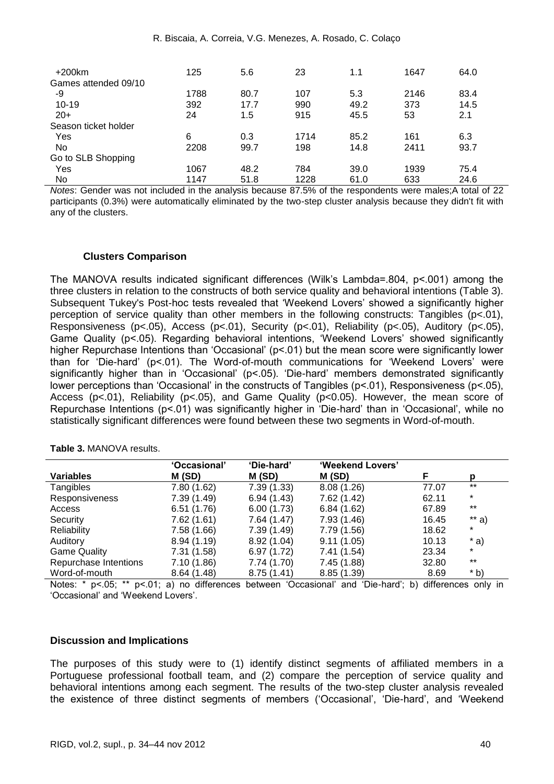| $+200$ km            | 125  | 5.6  | 23   | 1.1  | 1647 | 64.0 |
|----------------------|------|------|------|------|------|------|
| Games attended 09/10 |      |      |      |      |      |      |
| -9                   | 1788 | 80.7 | 107  | 5.3  | 2146 | 83.4 |
| $10 - 19$            | 392  | 17.7 | 990  | 49.2 | 373  | 14.5 |
| $20+$                | 24   | 1.5  | 915  | 45.5 | 53   | 2.1  |
| Season ticket holder |      |      |      |      |      |      |
| Yes                  | 6    | 0.3  | 1714 | 85.2 | 161  | 6.3  |
| No                   | 2208 | 99.7 | 198  | 14.8 | 2411 | 93.7 |
| Go to SLB Shopping   |      |      |      |      |      |      |
| Yes                  | 1067 | 48.2 | 784  | 39.0 | 1939 | 75.4 |
| No.                  | 1147 | 51.8 | 1228 | 61.0 | 633  | 24.6 |

*Notes*: Gender was not included in the analysis because 87.5% of the respondents were males;A total of 22 participants (0.3%) were automatically eliminated by the two-step cluster analysis because they didn't fit with any of the clusters.

#### **Clusters Comparison**

The MANOVA results indicated significant differences (Wilk's Lambda=.804, p<.001) among the three clusters in relation to the constructs of both service quality and behavioral intentions (Table 3). Subsequent Tukey's Post-hoc tests revealed that 'Weekend Lovers' showed a significantly higher perception of service quality than other members in the following constructs: Tangibles (p<.01), Responsiveness (p<.05), Access (p<.01), Security (p<.01), Reliability (p<.05), Auditory (p<.05), Game Quality (p<.05). Regarding behavioral intentions, 'Weekend Lovers' showed significantly higher Repurchase Intentions than 'Occasional' (p<.01) but the mean score were significantly lower than for 'Die-hard' (p<.01). The Word-of-mouth communications for 'Weekend Lovers' were significantly higher than in 'Occasional' (p<.05). 'Die-hard' members demonstrated significantly lower perceptions than 'Occasional' in the constructs of Tangibles (p<.01), Responsiveness (p<.05), Access (p<.01), Reliability (p<.05), and Game Quality (p<0.05). However, the mean score of Repurchase Intentions (p<.01) was significantly higher in 'Die-hard' than in 'Occasional', while no statistically significant differences were found between these two segments in Word-of-mouth.

|                       | 'Occasional' | 'Die-hard'  | 'Weekend Lovers' |       |         |
|-----------------------|--------------|-------------|------------------|-------|---------|
| <b>Variables</b>      | M(SD)        | M(SD)       | M(SD)            |       | D       |
| Tangibles             | 7.80(1.62)   | 7.39(1.33)  | 8.08(1.26)       | 77.07 | $***$   |
| Responsiveness        | 7.39(1.49)   | 6.94(1.43)  | 7.62 (1.42)      | 62.11 | $\ast$  |
| Access                | 6.51(1.76)   | 6.00(1.73)  | 6.84(1.62)       | 67.89 | $***$   |
| Security              | 7.62(1.61)   | 7.64 (1.47) | 7.93(1.46)       | 16.45 | $**$ a) |
| Reliability           | 7.58(1.66)   | 7.39(1.49)  | 7.79 (1.56)      | 18.62 | $\ast$  |
| Auditory              | 8.94(1.19)   | 8.92(1.04)  | 9.11(1.05)       | 10.13 | $*$ a)  |
| <b>Game Quality</b>   | 7.31(1.58)   | 6.97(1.72)  | 7.41(1.54)       | 23.34 | $\star$ |
| Repurchase Intentions | 7.10(1.86)   | 7.74 (1.70) | 7.45(1.88)       | 32.80 | $***$   |
| Word-of-mouth         | 8.64(1.48)   | 8.75(1.41)  | 8.85(1.39)       | 8.69  | $*$ b)  |

**Table 3.** MANOVA results.

Notes: \* p<.05; \*\* p<.01; a) no differences between 'Occasional' and 'Die-hard'; b) differences only in 'Occasional' and 'Weekend Lovers'.

#### **Discussion and Implications**

The purposes of this study were to (1) identify distinct segments of affiliated members in a Portuguese professional football team, and (2) compare the perception of service quality and behavioral intentions among each segment. The results of the two-step cluster analysis revealed the existence of three distinct segments of members ('Occasional', 'Die-hard', and 'Weekend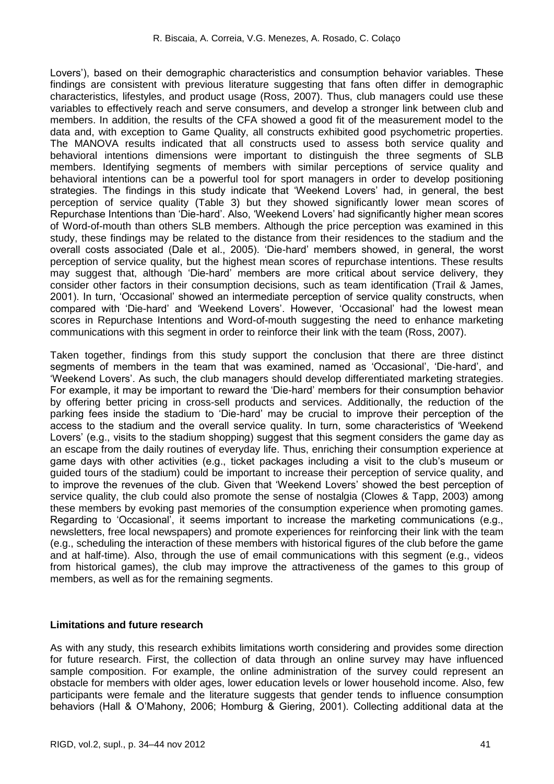Lovers'), based on their demographic characteristics and consumption behavior variables. These findings are consistent with previous literature suggesting that fans often differ in demographic characteristics, lifestyles, and product usage (Ross, 2007). Thus, club managers could use these variables to effectively reach and serve consumers, and develop a stronger link between club and members. In addition, the results of the CFA showed a good fit of the measurement model to the data and, with exception to Game Quality, all constructs exhibited good psychometric properties. The MANOVA results indicated that all constructs used to assess both service quality and behavioral intentions dimensions were important to distinguish the three segments of SLB members. Identifying segments of members with similar perceptions of service quality and behavioral intentions can be a powerful tool for sport managers in order to develop positioning strategies. The findings in this study indicate that 'Weekend Lovers' had, in general, the best perception of service quality (Table 3) but they showed significantly lower mean scores of Repurchase Intentions than 'Die-hard'. Also, 'Weekend Lovers' had significantly higher mean scores of Word-of-mouth than others SLB members. Although the price perception was examined in this study, these findings may be related to the distance from their residences to the stadium and the overall costs associated (Dale et al., 2005). 'Die-hard' members showed, in general, the worst perception of service quality, but the highest mean scores of repurchase intentions. These results may suggest that, although 'Die-hard' members are more critical about service delivery, they consider other factors in their consumption decisions, such as team identification (Trail & James, 2001). In turn, 'Occasional' showed an intermediate perception of service quality constructs, when compared with 'Die-hard' and 'Weekend Lovers'. However, 'Occasional' had the lowest mean scores in Repurchase Intentions and Word-of-mouth suggesting the need to enhance marketing communications with this segment in order to reinforce their link with the team (Ross, 2007).

Taken together, findings from this study support the conclusion that there are three distinct segments of members in the team that was examined, named as 'Occasional', 'Die-hard', and 'Weekend Lovers'. As such, the club managers should develop differentiated marketing strategies. For example, it may be important to reward the 'Die-hard' members for their consumption behavior by offering better pricing in cross-sell products and services. Additionally, the reduction of the parking fees inside the stadium to 'Die-hard' may be crucial to improve their perception of the access to the stadium and the overall service quality. In turn, some characteristics of 'Weekend Lovers' (e.g., visits to the stadium shopping) suggest that this segment considers the game day as an escape from the daily routines of everyday life. Thus, enriching their consumption experience at game days with other activities (e.g., ticket packages including a visit to the club's museum or guided tours of the stadium) could be important to increase their perception of service quality, and to improve the revenues of the club. Given that 'Weekend Lovers' showed the best perception of service quality, the club could also promote the sense of nostalgia (Clowes & Tapp, 2003) among these members by evoking past memories of the consumption experience when promoting games. Regarding to 'Occasional', it seems important to increase the marketing communications (e.g., newsletters, free local newspapers) and promote experiences for reinforcing their link with the team (e.g., scheduling the interaction of these members with historical figures of the club before the game and at half-time). Also, through the use of email communications with this segment (e.g., videos from historical games), the club may improve the attractiveness of the games to this group of members, as well as for the remaining segments.

#### **Limitations and future research**

As with any study, this research exhibits limitations worth considering and provides some direction for future research. First, the collection of data through an online survey may have influenced sample composition. For example, the online administration of the survey could represent an obstacle for members with older ages, lower education levels or lower household income. Also, few participants were female and the literature suggests that gender tends to influence consumption behaviors (Hall & O'Mahony, 2006; Homburg & Giering, 2001). Collecting additional data at the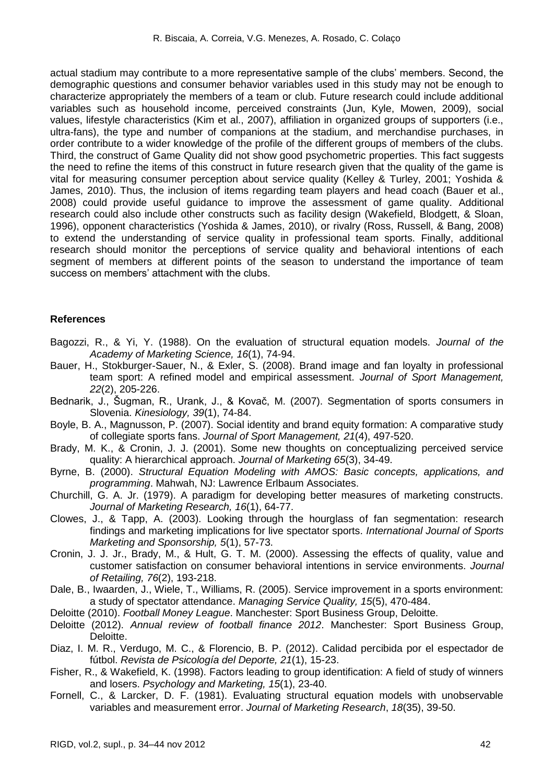actual stadium may contribute to a more representative sample of the clubs' members. Second, the demographic questions and consumer behavior variables used in this study may not be enough to characterize appropriately the members of a team or club. Future research could include additional variables such as household income, perceived constraints (Jun, Kyle, Mowen, 2009), social values, lifestyle characteristics (Kim et al., 2007), affiliation in organized groups of supporters (i.e., ultra-fans), the type and number of companions at the stadium, and merchandise purchases, in order contribute to a wider knowledge of the profile of the different groups of members of the clubs. Third, the construct of Game Quality did not show good psychometric properties. This fact suggests the need to refine the items of this construct in future research given that the quality of the game is vital for measuring consumer perception about service quality (Kelley & Turley, 2001; Yoshida & James, 2010). Thus, the inclusion of items regarding team players and head coach (Bauer et al., 2008) could provide useful guidance to improve the assessment of game quality. Additional research could also include other constructs such as facility design (Wakefield, Blodgett, & Sloan, 1996), opponent characteristics (Yoshida & James, 2010), or rivalry (Ross, Russell, & Bang, 2008) to extend the understanding of service quality in professional team sports. Finally, additional research should monitor the perceptions of service quality and behavioral intentions of each segment of members at different points of the season to understand the importance of team success on members' attachment with the clubs.

### **References**

- Bagozzi, R., & Yi, Y. (1988). On the evaluation of structural equation models. *Journal of the Academy of Marketing Science, 16*(1), 74-94.
- Bauer, H., Stokburger-Sauer, N., & Exler, S. (2008). Brand image and fan loyalty in professional team sport: A refined model and empirical assessment. *Journal of Sport Management, 22*(2), 205-226.
- Bednarik, J., Šugman, R., Urank, J., & Kovač, M. (2007). Segmentation of sports consumers in Slovenia. *Kinesiology, 39*(1), 74-84.
- Boyle, B. A., Magnusson, P. (2007). Social identity and brand equity formation: A comparative study of collegiate sports fans. *Journal of Sport Management, 21*(4), 497-520.
- Brady, M. K., & Cronin, J. J. (2001). Some new thoughts on conceptualizing perceived service quality: A hierarchical approach. *Journal of Marketing 65*(3), 34-49.
- Byrne, B. (2000). *Structural Equation Modeling with AMOS: Basic concepts, applications, and programming*. Mahwah, NJ: Lawrence Erlbaum Associates.
- Churchill, G. A. Jr. (1979). A paradigm for developing better measures of marketing constructs. *Journal of Marketing Research, 16*(1), 64-77.
- Clowes, J., & Tapp, A. (2003). Looking through the hourglass of fan segmentation: research findings and marketing implications for live spectator sports. *International Journal of Sports Marketing and Sponsorship, 5*(1), 57-73.
- Cronin, J. J. Jr., Brady, M., & Hult, G. T. M. (2000). Assessing the effects of quality, value and customer satisfaction on consumer behavioral intentions in service environments. *Journal of Retailing, 76*(2), 193-218.
- Dale, B., Iwaarden, J., Wiele, T., Williams, R. (2005). Service improvement in a sports environment: a study of spectator attendance. *Managing Service Quality, 15*(5), 470-484.
- Deloitte (2010). *Football Money League*. Manchester: Sport Business Group, Deloitte.
- Deloitte (2012). *Annual review of football finance 2012*. Manchester: Sport Business Group, Deloitte.
- Diaz, I. M. R., Verdugo, M. C., & Florencio, B. P. (2012). Calidad percibida por el espectador de fútbol. *Revista de Psicología del Deporte, 21*(1), 15-23.
- Fisher, R., & Wakefield, K. (1998). Factors leading to group identification: A field of study of winners and losers. *Psychology and Marketing, 15*(1), 23-40.
- Fornell, C., & Larcker, D. F. (1981). Evaluating structural equation models with unobservable variables and measurement error. *Journal of Marketing Research*, *18*(35), 39-50.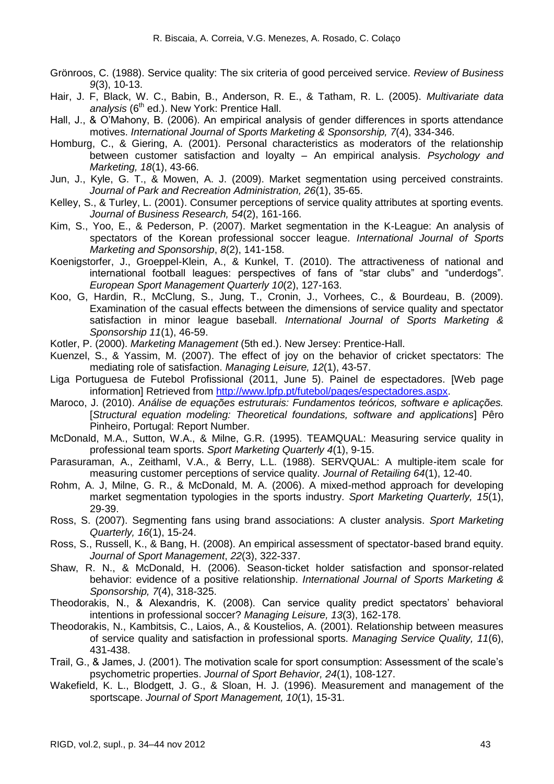- Grönroos, C. (1988). Service quality: The six criteria of good perceived service. *Review of Business 9*(3), 10-13.
- Hair, J. F, Black, W. C., Babin, B., Anderson, R. E., & Tatham, R. L. (2005). *Multivariate data*  analysis (6<sup>th</sup> ed.). New York: Prentice Hall.
- Hall, J., & O'Mahony, B. (2006). An empirical analysis of gender differences in sports attendance motives. *International Journal of Sports Marketing & Sponsorship, 7*(4), 334-346.
- Homburg, C., & Giering, A. (2001). Personal characteristics as moderators of the relationship between customer satisfaction and loyalty – An empirical analysis. *Psychology and Marketing, 18*(1), 43-66.
- Jun, J., Kyle, G. T., & Mowen, A. J. (2009). Market segmentation using perceived constraints. *Journal of Park and Recreation Administration, 26*(1), 35-65.
- Kelley, S., & Turley, L. (2001). Consumer perceptions of service quality attributes at sporting events. *Journal of Business Research, 54*(2), 161-166.
- Kim, S., Yoo, E., & Pederson, P. (2007). Market segmentation in the K-League: An analysis of spectators of the Korean professional soccer league. *International Journal of Sports Marketing and Sponsorship*, *8*(2), 141-158.
- Koenigstorfer, J., Groeppel-Klein, A., & Kunkel, T. (2010). The attractiveness of national and international football leagues: perspectives of fans of "star clubs" and "underdogs". *European Sport Management Quarterly 10*(2), 127-163.
- Koo, G, Hardin, R., McClung, S., Jung, T., Cronin, J., Vorhees, C., & Bourdeau, B. (2009). Examination of the casual effects between the dimensions of service quality and spectator satisfaction in minor league baseball. *International Journal of Sports Marketing & Sponsorship 11*(1), 46-59.
- Kotler, P. (2000). *Marketing Management* (5th ed.). New Jersey: Prentice-Hall.
- Kuenzel, S., & Yassim, M. (2007). The effect of joy on the behavior of cricket spectators: The mediating role of satisfaction. *Managing Leisure, 12*(1), 43-57.
- Liga Portuguesa de Futebol Profissional (2011, June 5). Painel de espectadores. [Web page information] Retrieved from [http://www.lpfp.pt/futebol/pages/espectadores.aspx.](http://www.lpfp.pt/futebol/pages/espectadores.aspx)
- Maroco, J. (2010). *Análise de equações estruturais: Fundamentos teóricos, software e aplicações.* [*Structural equation modeling: Theoretical foundations, software and applications*] Pêro Pinheiro, Portugal: Report Number.
- McDonald, M.A., Sutton, W.A., & Milne, G.R. (1995). TEAMQUAL: Measuring service quality in professional team sports. *Sport Marketing Quarterly 4*(1), 9-15.
- Parasuraman, A., Zeithaml, V.A., & Berry, L.L. (1988). SERVQUAL: A multiple-item scale for measuring customer perceptions of service quality. *Journal of Retailing 64*(1), 12-40.
- Rohm, A. J, Milne, G. R., & McDonald, M. A. (2006). A mixed-method approach for developing market segmentation typologies in the sports industry. *Sport Marketing Quarterly, 15*(1), 29-39.
- Ross, S. (2007). Segmenting fans using brand associations: A cluster analysis. *Sport Marketing Quarterly, 16*(1), 15-24.
- Ross, S., Russell, K., & Bang, H. (2008). An empirical assessment of spectator-based brand equity. *Journal of Sport Management*, *22*(3), 322-337.
- Shaw, R. N., & McDonald, H. (2006). Season-ticket holder satisfaction and sponsor-related behavior: evidence of a positive relationship. *International Journal of Sports Marketing & Sponsorship, 7*(4), 318-325.
- Theodorakis, N., & Alexandris, K. (2008). Can service quality predict spectators' behavioral intentions in professional soccer? *Managing Leisure, 13*(3), 162-178.
- Theodorakis, N., Kambitsis, C., Laios, A., & Koustelios, A. (2001). Relationship between measures of service quality and satisfaction in professional sports. *Managing Service Quality, 11*(6), 431-438.
- Trail, G., & James, J. (2001). The motivation scale for sport consumption: Assessment of the scale's psychometric properties. *Journal of Sport Behavior, 24*(1), 108-127.
- Wakefield, K. L., Blodgett, J. G., & Sloan, H. J. (1996). Measurement and management of the sportscape. *Journal of Sport Management, 10*(1), 15-31.